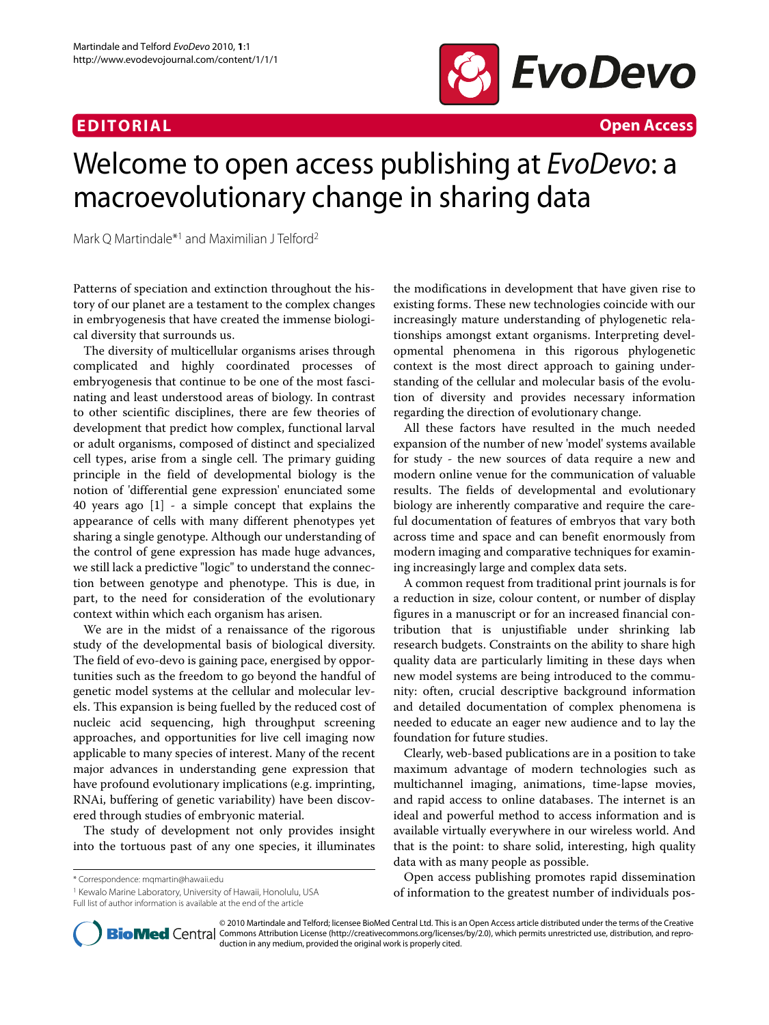## **EDITORIAL Open Access**



# Welcome to open access publishing at EvoDevo: a macroevolutionary change in sharing data

Mark Q Martindale\*1 and Maximilian J Telford2

Patterns of speciation and extinction throughout the history of our planet are a testament to the complex changes in embryogenesis that have created the immense biological diversity that surrounds us.

The diversity of multicellular organisms arises through complicated and highly coordinated processes of embryogenesis that continue to be one of the most fascinating and least understood areas of biology. In contrast to other scientific disciplines, there are few theories of development that predict how complex, functional larval or adult organisms, composed of distinct and specialized cell types, arise from a single cell. The primary guiding principle in the field of developmental biology is the notion of 'differential gene expression' enunciated some 40 years ago [\[1](#page-1-0)] - a simple concept that explains the appearance of cells with many different phenotypes yet sharing a single genotype. Although our understanding of the control of gene expression has made huge advances, we still lack a predictive "logic" to understand the connection between genotype and phenotype. This is due, in part, to the need for consideration of the evolutionary context within which each organism has arisen.

We are in the midst of a renaissance of the rigorous study of the developmental basis of biological diversity. The field of evo-devo is gaining pace, energised by opportunities such as the freedom to go beyond the handful of genetic model systems at the cellular and molecular levels. This expansion is being fuelled by the reduced cost of nucleic acid sequencing, high throughput screening approaches, and opportunities for live cell imaging now applicable to many species of interest. Many of the recent major advances in understanding gene expression that have profound evolutionary implications (e.g. imprinting, RNAi, buffering of genetic variability) have been discovered through studies of embryonic material.

The study of development not only provides insight into the tortuous past of any one species, it illuminates

\* Correspondence: mqmartin@hawaii.edu

1 Kewalo Marine Laboratory, University of Hawaii, Honolulu, USA Full list of author information is available at the end of the article

the modifications in development that have given rise to existing forms. These new technologies coincide with our increasingly mature understanding of phylogenetic relationships amongst extant organisms. Interpreting developmental phenomena in this rigorous phylogenetic context is the most direct approach to gaining understanding of the cellular and molecular basis of the evolution of diversity and provides necessary information regarding the direction of evolutionary change.

All these factors have resulted in the much needed expansion of the number of new 'model' systems available for study - the new sources of data require a new and modern online venue for the communication of valuable results. The fields of developmental and evolutionary biology are inherently comparative and require the careful documentation of features of embryos that vary both across time and space and can benefit enormously from modern imaging and comparative techniques for examining increasingly large and complex data sets.

A common request from traditional print journals is for a reduction in size, colour content, or number of display figures in a manuscript or for an increased financial contribution that is unjustifiable under shrinking lab research budgets. Constraints on the ability to share high quality data are particularly limiting in these days when new model systems are being introduced to the community: often, crucial descriptive background information and detailed documentation of complex phenomena is needed to educate an eager new audience and to lay the foundation for future studies.

Clearly, web-based publications are in a position to take maximum advantage of modern technologies such as multichannel imaging, animations, time-lapse movies, and rapid access to online databases. The internet is an ideal and powerful method to access information and is available virtually everywhere in our wireless world. And that is the point: to share solid, interesting, high quality data with as many people as possible.

Open access publishing promotes rapid dissemination of information to the greatest number of individuals pos-



© 2010 Martindale and Telford; licensee BioMed Central Ltd. This is an Open Access article distributed under the terms of the Creative Bio Med Central Commons Attribution License (http://creativecommons.org/licenses/by/2.0), which permits unrestricted use, distribution, and reproduction in any medium, provided the original work is properly cited.